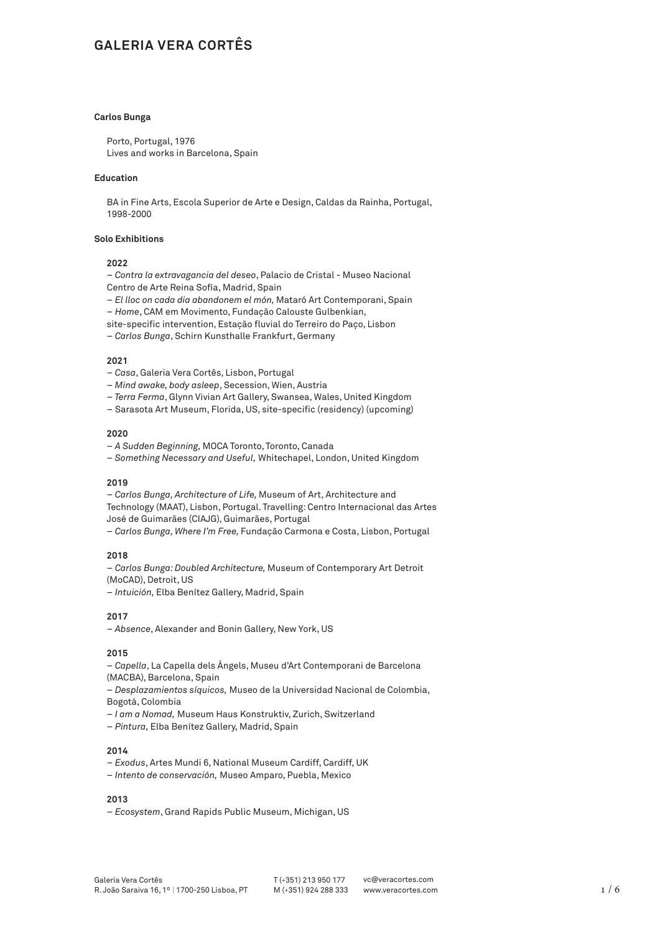# **GALERIA VERA CORTÊS**

#### **Carlos Bunga**

Porto, Portugal, 1976 Lives and works in Barcelona, Spain

### **Education**

BA in Fine Arts, Escola Superior de Arte e Design, Caldas da Rainha, Portugal, 1998-2000

# **Solo Exhibitions**

### **2022**

– *Contra la extravagancia del deseo*, Palacio de Cristal - Museo Nacional Centro de Arte Reina Sofía, Madrid, Spain

- *El lloc on cada dia abandonem el món,* Mataró Art Contemporani, Spain – *Home*, CAM em Movimento, Fundação Calouste Gulbenkian,
- site-specific intervention, Estação fluvial do Terreiro do Paço, Lisbon
- *Carlos Bunga*, Schirn Kunsthalle Frankfurt, Germany

#### **2021**

- *Casa*, Galeria Vera Cortês, Lisbon, Portugal
- – *Mind awake, body asleep*, Secession, Wien, Austria
- – *Terra Ferma*, Glynn Vivian Art Gallery, Swansea, Wales, United Kingdom
- Sarasota Art Museum, Florida, US, site-specific (residency) (upcoming)

# **2020**

- *A Sudden Beginning,* MOCA Toronto, Toronto, Canada
- – *Something Necessary and Useful,* Whitechapel, London, United Kingdom

# **2019**

– *Carlos Bunga, Architecture of Life,* Museum of Art, Architecture and Technology (MAAT), Lisbon, Portugal. Travelling: Centro Internacional das Artes José de Guimarães (CIAJG), Guimarães, Portugal

– *Carlos Bunga, Where I'm Free,* Fundação Carmona e Costa, Lisbon, Portugal

#### **2018**

– *Carlos Bunga: Doubled Architecture,* Museum of Contemporary Art Detroit (MoCAD), Detroit, US

– *Intuición,* Elba Benítez Gallery, Madrid, Spain

# **2017**

– *Absence*, Alexander and Bonin Gallery, New York, US

#### **2015**

– *Capella*, La Capella dels Àngels, Museu d'Art Contemporani de Barcelona (MACBA), Barcelona, Spain

– *Desplazamientos síquicos,* Museo de la Universidad Nacional de Colombia, Bogotá, Colombia

- *I am a Nomad,* Museum Haus Konstruktiv, Zurich, Switzerland
- *Pintura,* Elba Benítez Gallery, Madrid, Spain

#### **2014**

- *Exodus*, Artes Mundi 6, National Museum Cardiff, Cardiff, UK
- *Intento de conservación,* Museo Amparo, Puebla, Mexico

#### **2013**

– *Ecosystem*, Grand Rapids Public Museum, Michigan, US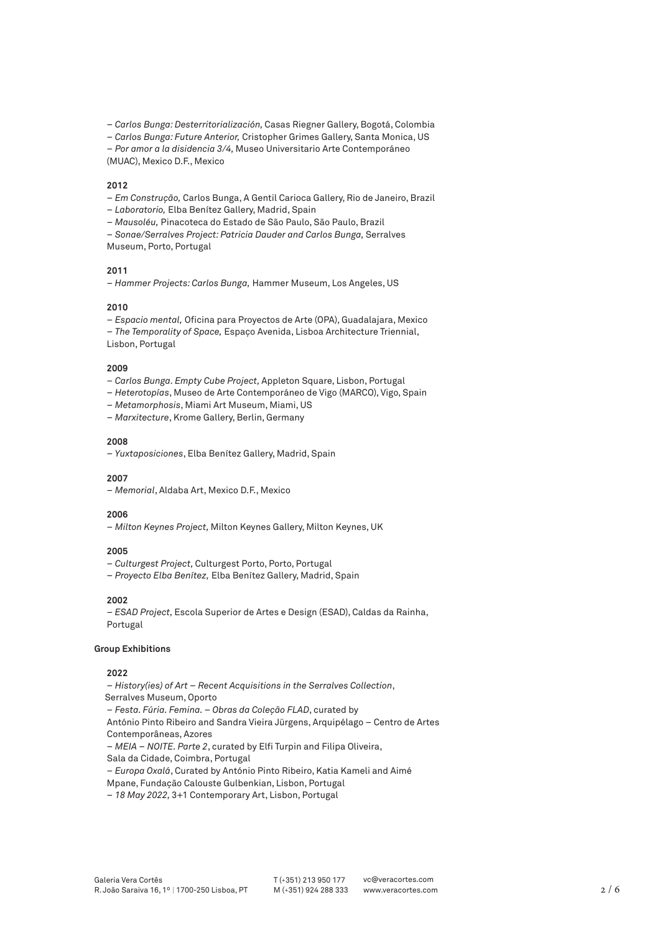– *Carlos Bunga: Desterritorialización,* Casas Riegner Gallery, Bogotá, Colombia

– *Carlos Bunga: Future Anterior,* Cristopher Grimes Gallery, Santa Monica, US

– *Por amor a la disidencia 3/4,* Museo Universitario Arte Contemporáneo

(MUAC), Mexico D.F., Mexico

#### **2012**

- *Em Construção,* Carlos Bunga, A Gentil Carioca Gallery, Rio de Janeiro, Brazil
- *Laboratorio,* Elba Benítez Gallery, Madrid, Spain
- *Mausoléu,* Pinacoteca do Estado de São Paulo, São Paulo, Brazil
- *Sonae/Serralves Project: Patricia Dauder and Carlos Bunga,* Serralves

Museum, Porto, Portugal

# **2011**

– *Hammer Projects: Carlos Bunga,* Hammer Museum, Los Angeles, US

#### **2010**

– *Espacio mental,* Oficina para Proyectos de Arte (OPA), Guadalajara, Mexico – *The Temporality of Space,* Espaço Avenida, Lisboa Architecture Triennial, Lisbon, Portugal

#### **2009**

- *Carlos Bunga. Empty Cube Project,* Appleton Square, Lisbon, Portugal
- *Heterotopías*, Museo de Arte Contemporáneo de Vigo (MARCO), Vigo, Spain
- *Metamorphosis*, Miami Art Museum, Miami, US
- *Marxitecture*, Krome Gallery, Berlin, Germany

### **2008**

– *Yuxtaposiciones*, Elba Benítez Gallery, Madrid, Spain

#### **2007**

– *Memorial*, Aldaba Art, Mexico D.F., Mexico

#### **2006**

– *Milton Keynes Project,* Milton Keynes Gallery, Milton Keynes, UK

# **2005**

– *Culturgest Project,* Culturgest Porto, Porto, Portugal

– *Proyecto Elba Benítez,* Elba Benítez Gallery, Madrid, Spain

### **2002**

– *ESAD Project,* Escola Superior de Artes e Design (ESAD), Caldas da Rainha, Portugal

# **Group Exhibitions**

# **2022**

– *History(ies) of Art – Recent Acquisitions in the Serralves Collection*,

Serralves Museum, Oporto

– *Festa. Fúria. Femina. – Obras da Coleção FLAD*, curated by

 António Pinto Ribeiro and Sandra Vieira Jürgens, Arquipélago – Centro de Artes Contemporâneas, Azores

– *MEIA – NOITE. Parte 2*, curated by Elfi Turpin and Filipa Oliveira,

Sala da Cidade, Coimbra, Portugal

– *Europa Oxalá*, Curated by António Pinto Ribeiro, Katia Kameli and Aimé

Mpane, Fundação Calouste Gulbenkian, Lisbon, Portugal

– *18 May 2022,* 3+1 Contemporary Art, Lisbon, Portugal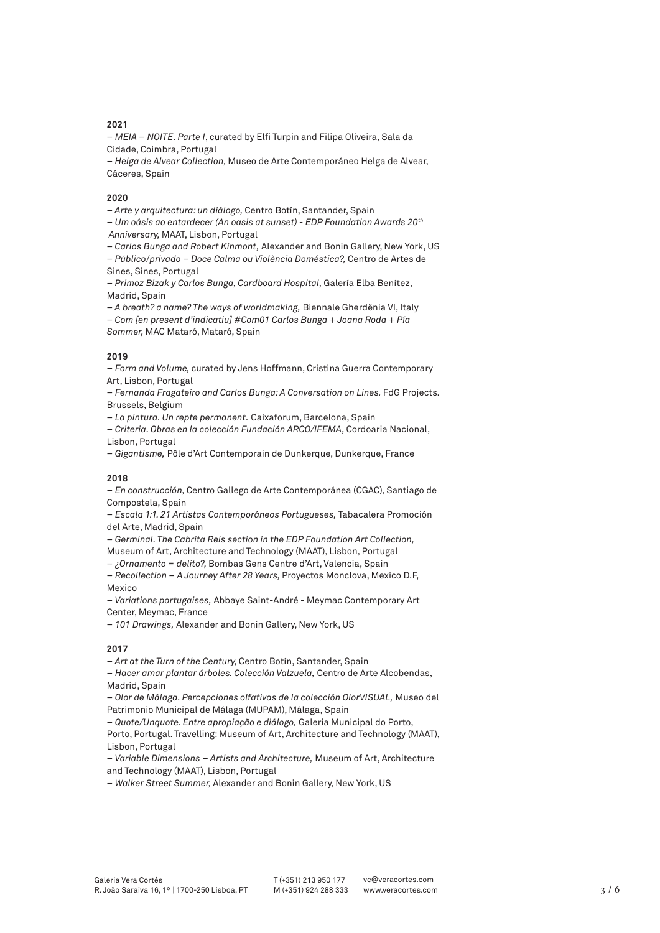# **2021**

– *MEIA – NOITE. Parte I*, curated by Elfi Turpin and Filipa Oliveira, Sala da Cidade, Coimbra, Portugal

– *Helga de Alvear Collection,* Museo de Arte Contemporáneo Helga de Alvear, Cáceres, Spain

# **2020**

– *Arte y arquitectura: un diálogo,* Centro Botín, Santander, Spain

– *Um oásis ao entardecer (An oasis at sunset) - EDP Foundation Awards 20th Anniversary,* MAAT, Lisbon, Portugal

– *Carlos Bunga and Robert Kinmont,* Alexander and Bonin Gallery, New York, US

– *Público*/*privado – Doce Calma ou Violència Doméstica?,* Centro de Artes de Sines, Sines, Portugal

– *Primoz Bizak y Carlos Bunga, Cardboard Hospital,* Galería Elba Benítez, Madrid, Spain

– *A breath? a name? The ways of worldmaking,* Biennale Gherdënia VI, Italy

– *Com [en present d'indicatiu] #Com01 Carlos Bunga + Joana Roda + Pía Sommer,* MAC Mataró, Mataró, Spain

### **2019**

– *Form and Volume,* curated by Jens Hoffmann, Cristina Guerra Contemporary Art, Lisbon, Portugal

– *Fernanda Fragateiro and Carlos Bunga: A Conversation on Lines.* FdG Projects. Brussels, Belgium

– *La pintura. Un repte permanent.* Caixaforum, Barcelona, Spain

– *Criteria. Obras en la colección Fundación ARCO/IFEMA,* Cordoaria Nacional, Lisbon, Portugal

– *Gigantisme,* Pôle d'Art Contemporain de Dunkerque, Dunkerque, France

### **2018**

– *En construcción,* Centro Gallego de Arte Contemporánea (CGAC), Santiago de Compostela, Spain

– *Escala 1:1. 21 Artistas Contemporáneos Portugueses,* Tabacalera Promoción del Arte, Madrid, Spain

– *Germinal. The Cabrita Reis section in the EDP Foundation Art Collection,*  Museum of Art, Architecture and Technology (MAAT), Lisbon, Portugal

– *¿Ornamento = delito?,* Bombas Gens Centre d'Art, Valencia, Spain

– *Recollection – A Journey After 28 Years,* Proyectos Monclova, Mexico D.F, Mexico

– *[Variations portugaises,](http://www.centre-art-contemporain-meymac.com/a_venir.html)* Abbaye Saint-André - Meymac Contemporary Art Center, Meymac, France

– *101 Drawings,* Alexander and Bonin Gallery, New York, US

# **2017**

– *Art at the Turn of the Century,* Centro Botín, Santander, Spain

– *Hacer amar plantar árboles. Colección Valzuela,* Centro de Arte Alcobendas, Madrid, Spain

– *Olor de Málaga. Percepciones olfativas de la colección OlorVISUAL,* Museo del Patrimonio Municipal de Málaga (MUPAM), Málaga, Spain

– *Quote/Unquote. Entre apropiação e diálogo,* Galeria Municipal do Porto,

Porto, Portugal. Travelling: Museum of Art, Architecture and Technology (MAAT), Lisbon, Portugal

– *Variable Dimensions – Artists and Architecture,* Museum of Art, Architecture and Technology (MAAT), Lisbon, Portugal

– *Walker Street Summer,* Alexander and Bonin Gallery, New York, US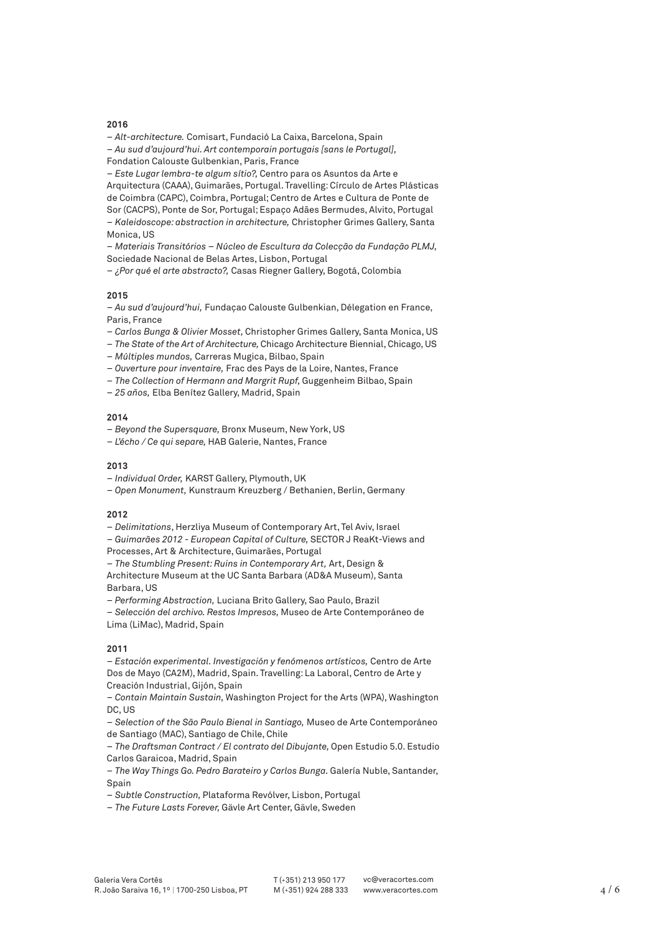#### **2016**

– *Alt-architecture.* Comisart, Fundació La Caixa, Barcelona, Spain

– *Au sud d'aujourd'hui. Art contemporain portugais [sans le Portugal],*  Fondation Calouste Gulbenkian, Paris, France

– *Este Lugar lembra-te algum sítio?,* Centro para os Asuntos da Arte e Arquitectura (CAAA), Guimarães, Portugal. Travelling: Círculo de Artes Plásticas de Coimbra (CAPC), Coimbra, Portugal; Centro de Artes e Cultura de Ponte de Sor (CACPS), Ponte de Sor, Portugal; Espaço Adães Bermudes, Alvito, Portugal – *Kaleidoscope: abstraction in architecture,* Christopher Grimes Gallery, Santa Monica, US

– *Materiais Transitórios – Núcleo de Escultura da Colecção da Fundação PLMJ,*  Sociedade Nacional de Belas Artes, Lisbon, Portugal

– *¿Por qué el arte abstracto?,* Casas Riegner Gallery, Bogotá, Colombia

#### **2015**

– *Au sud d'aujourd'hui,* Fundaçao Calouste Gulbenkian, Délegation en France, Paris, France

- *Carlos Bunga & Olivier Mosset,* Christopher Grimes Gallery, Santa Monica, US
- *The State of the Art of Architecture,* Chicago Architecture Biennial, Chicago, US
- *Múltiples mundos,* Carreras Mugica, Bilbao, Spain
- *Ouverture pour inventaire,* Frac des Pays de la Loire, Nantes, France
- *The Collection of Hermann and Margrit Rupf,* Guggenheim Bilbao, Spain
- *25 años,* Elba Benítez Gallery, Madrid, Spain

### **2014**

- *Beyond the Supersquare,* Bronx Museum, New York, US
- *L'écho / Ce qui separe,* HAB Galerie, Nantes, France

#### **2013**

- *Individual Order,* KARST Gallery, Plymouth, UK
- *Open Monument,* Kunstraum Kreuzberg / Bethanien, Berlin, Germany

#### **2012**

– *Delimitations*, Herzliya Museum of Contemporary Art, Tel Aviv, Israel

– *Guimarães 2012 - European Capital of Culture,* SECTOR J ReaKt-Views and

Processes, Art & Architecture, Guimarães, Portugal

– *The Stumbling Present: Ruins in Contemporary Art,* Art, Design &

Architecture Museum at the UC Santa Barbara (AD&A Museum), Santa Barbara, US

– *Performing Abstraction,* Luciana Brito Gallery, Sao Paulo, Brazil

– *Selección del archivo. Restos Impresos,* Museo de Arte Contemporáneo de Lima (LiMac), Madrid, Spain

#### **2011**

– *Estación experimental. Investigación y fenómenos artísticos,* Centro de Arte Dos de Mayo (CA2M), Madrid, Spain. Travelling: La Laboral, Centro de Arte y Creación Industrial, Gijón, Spain

– *Contain Maintain Sustain,* Washington Project for the Arts (WPA), Washington DC, US

– *Selection of the São Paulo Bienal in Santiago,* Museo de Arte Contemporáneo de Santiago (MAC), Santiago de Chile, Chile

– *The Draftsman Contract / El contrato del Dibujante,* Open Estudio 5.0. Estudio Carlos Garaicoa, Madrid, Spain

– *The Way Things Go. Pedro Barateiro y Carlos Bunga.* Galería Nuble, Santander, Spain

– *Subtle Construction,* Plataforma Revólver, Lisbon, Portugal

– *The Future Lasts Forever,* Gävle Art Center, Gävle, Sweden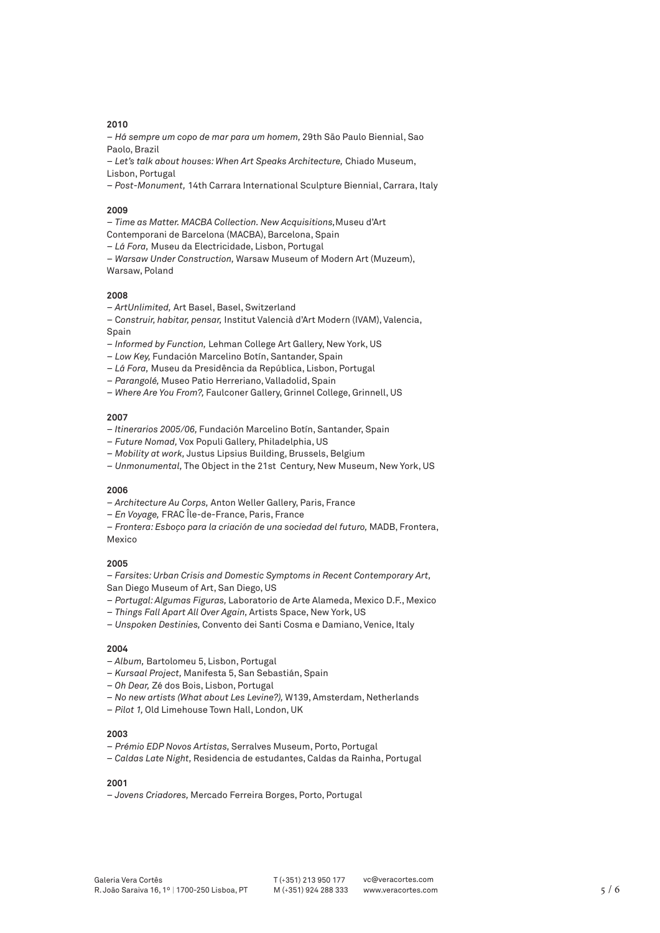# **2010**

– *Há sempre um copo de mar para um homem,* 29th São Paulo Biennial, Sao Paolo, Brazil

– *Let's talk about houses: When Art Speaks Architecture,* Chiado Museum, Lisbon, Portugal

– *Post-Monument,* 14th Carrara International Sculpture Biennial, Carrara, Italy

# **2009**

– *Time as Matter. MACBA Collection. New Acquisitions,*Museu d'Art

- Contemporani de Barcelona (MACBA), Barcelona, Spain
- *Lá Fora,* Museu da Electricidade, Lisbon, Portugal

– *Warsaw Under Construction,* Warsaw Museum of Modern Art (Muzeum), Warsaw, Poland

### **2008**

– *ArtUnlimited,* Art Basel, Basel, Switzerland

- C*onstruir, habitar, pensar,* Institut Valencià d'Art Modern (IVAM), Valencia, Spain
- *Informed by Function,* Lehman College Art Gallery, New York, US
- *Low Key,* Fundación Marcelino Botín, Santander, Spain

– *Lá Fora,* Museu da Presidência da República, Lisbon, Portugal

- *Parangolé,* Museo Patio Herreriano, Valladolid, Spain
- *Where Are You From?,* Faulconer Gallery, Grinnel College, Grinnell, US

### **2007**

- – *Itinerarios 2005/06,* Fundación Marcelino Botín, Santander, Spain
- *Future Nomad,* Vox Populi Gallery, Philadelphia, US
- *Mobility at work,* Justus Lipsius Building, Brussels, Belgium
- *Unmonumental,* The Object in the 21st Century, New Museum, New York, US

#### **2006**

- *Architecture Au Corps,* Anton Weller Gallery, Paris, France
- *En Voyage,* FRAC Île-de-France, Paris, France

– *Frontera: Esboço para la criación de una sociedad del futuro,* MADB, Frontera,

Mexico

### **2005**

– *Farsites: Urban Crisis and Domestic Symptoms in Recent Contemporary Art,*  San Diego Museum of Art, San Diego, US

- *Portugal: Algumas Figuras,* Laboratorio de Arte Alameda, Mexico D.F., Mexico
- *Things Fall Apart All Over Again,* Artists Space, New York, US
- *Unspoken Destinies,* Convento dei Santi Cosma e Damiano, Venice, Italy

### **2004**

- – *Album,* Bartolomeu 5, Lisbon, Portugal
- *Kursaal Project,* Manifesta 5, San Sebastián, Spain
- – *Oh Dear,* Zé dos Bois, Lisbon, Portugal
- *No new artists (What about Les Levine?),* W139, Amsterdam, Netherlands
- *Pilot 1,* Old Limehouse Town Hall, London, UK

#### **2003**

- *Prémio EDP Novos Artistas,* Serralves Museum, Porto, Portugal
- *Caldas Late Night,* Residencia de estudantes, Caldas da Rainha, Portugal

# **2001**

– *Jovens Criadores,* Mercado Ferreira Borges, Porto, Portugal